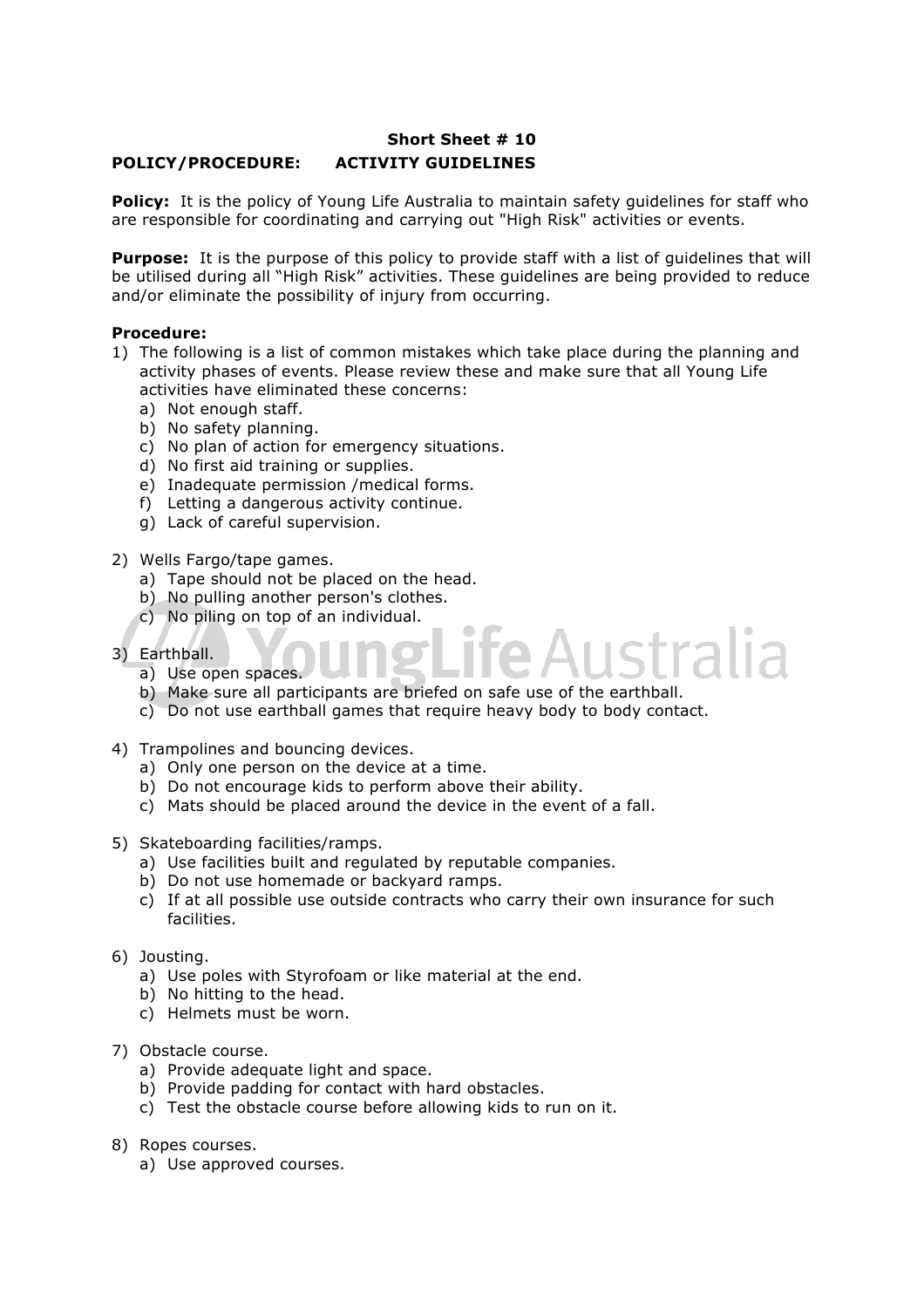## **Short Sheet # 10 POLICY/PROCEDURE: ACTIVITY GUIDELINES**

**Policy:** It is the policy of Young Life Australia to maintain safety guidelines for staff who are responsible for coordinating and carrying out "High Risk" activities or events.

**Purpose:** It is the purpose of this policy to provide staff with a list of quidelines that will be utilised during all "High Risk" activities. These guidelines are being provided to reduce and/or eliminate the possibility of injury from occurring.

## **Procedure:**

- 1) The following is a list of common mistakes which take place during the planning and activity phases of events. Please review these and make sure that all Young Life activities have eliminated these concerns:
	- a) Not enough staff.
	- b) No safety planning.
	- c) No plan of action for emergency situations.
	- d) No first aid training or supplies.
	- e) Inadequate permission /medical forms.
	- f) Letting a dangerous activity continue.
	- g) Lack of careful supervision.
- 2) Wells Fargo/tape games.
	- a) Tape should not be placed on the head.
	- b) No pulling another person's clothes.
	- c) No piling on top of an individual.
- 3) Earthball.
	- a) Use open spaces.
	- b) Make sure all participants are briefed on safe use of the earthball.
	- c) Do not use earthball games that require heavy body to body contact.
- 4) Trampolines and bouncing devices.
	- a) Only one person on the device at a time.
	- b) Do not encourage kids to perform above their ability.
	- c) Mats should be placed around the device in the event of a fall.
- 5) Skateboarding facilities/ramps.
	- a) Use facilities built and regulated by reputable companies.
	- b) Do not use homemade or backyard ramps.
	- c) If at all possible use outside contracts who carry their own insurance for such facilities.
- 6) Jousting.
	- a) Use poles with Styrofoam or like material at the end.
	- b) No hitting to the head.
	- c) Helmets must be worn.
- 7) Obstacle course.
	- a) Provide adequate light and space.
	- b) Provide padding for contact with hard obstacles.
	- c) Test the obstacle course before allowing kids to run on it.
- 8) Ropes courses.
	- a) Use approved courses.